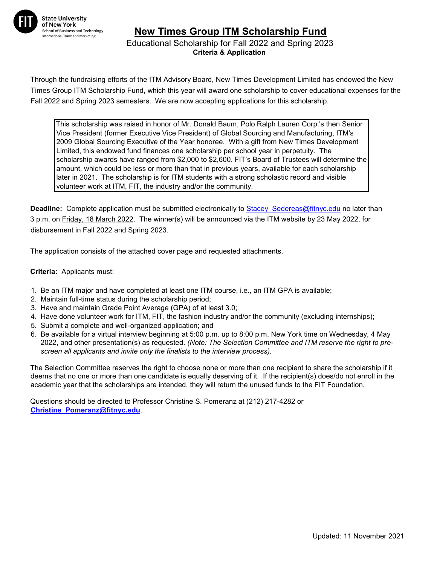

## **New Times Group ITM Scholarship Fund**

 Educational Scholarship for Fall 2022 and Spring 2023 **Criteria & Application**

Through the fundraising efforts of the ITM Advisory Board, New Times Development Limited has endowed the New Times Group ITM Scholarship Fund, which this year will award one scholarship to cover educational expenses for the Fall 2022 and Spring 2023 semesters. We are now accepting applications for this scholarship.

This scholarship was raised in honor of Mr. Donald Baum, Polo Ralph Lauren Corp.'s then Senior Vice President (former Executive Vice President) of Global Sourcing and Manufacturing, ITM's 2009 Global Sourcing Executive of the Year honoree. With a gift from New Times Development Limited, this endowed fund finances one scholarship per school year in perpetuity. The scholarship awards have ranged from \$2,000 to \$2,600. FIT's Board of Trustees will determine the amount, which could be less or more than that in previous years, available for each scholarship later in 2021. The scholarship is for ITM students with a strong scholastic record and visible volunteer work at ITM, FIT, the industry and/or the community.

**Deadline:** Complete application must be submitted electronically to **Stacey Sedereas@fitnyc.edu** no later than 3 p.m. on Friday, 18 March 2022. The winner(s) will be announced via the ITM website by 23 May 2022, for disbursement in Fall 2022 and Spring 2023.

The application consists of the attached cover page and requested attachments.

**Criteria:** Applicants must:

- 1. Be an ITM major and have completed at least one ITM course, i.e., an ITM GPA is available;
- 2. Maintain full-time status during the scholarship period;
- 3. Have and maintain Grade Point Average (GPA) of at least 3.0;
- 4. Have done volunteer work for ITM, FIT, the fashion industry and/or the community (excluding internships);
- 5. Submit a complete and well-organized application; and
- 6. Be available for a virtual interview beginning at 5:00 p.m. up to 8:00 p.m. New York time on Wednesday, 4 May 2022, and other presentation(s) as requested. *(Note: The Selection Committee and ITM reserve the right to prescreen all applicants and invite only the finalists to the interview process).*

The Selection Committee reserves the right to choose none or more than one recipient to share the scholarship if it deems that no one or more than one candidate is equally deserving of it. If the recipient(s) does/do not enroll in the academic year that the scholarships are intended, they will return the unused funds to the FIT Foundation.

Questions should be directed to Professor Christine S. Pomeranz at (212) 217-4282 or **Christine\_Pomeranz@fitnyc.edu**.